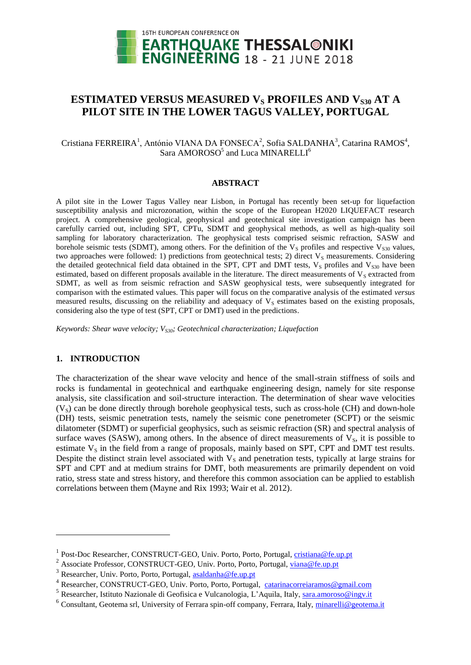

# **ESTIMATED VERSUS MEASURED V<sup>S</sup> PROFILES AND VS30 AT A PILOT SITE IN THE LOWER TAGUS VALLEY, PORTUGAL**

Cristiana FERREIRA<sup>1</sup>, António VIANA DA FONSECA<sup>2</sup>, Sofia SALDANHA<sup>3</sup>, Catarina RAMOS<sup>4</sup>, Sara AMOROSO<sup>5</sup> and Luca MINARELLI<sup>6</sup>

## **ABSTRACT**

A pilot site in the Lower Tagus Valley near Lisbon, in Portugal has recently been set-up for liquefaction susceptibility analysis and microzonation, within the scope of the European H2020 LIQUEFACT research project. A comprehensive geological, geophysical and geotechnical site investigation campaign has been carefully carried out, including SPT, CPTu, SDMT and geophysical methods, as well as high-quality soil sampling for laboratory characterization. The geophysical tests comprised seismic refraction, SASW and borehole seismic tests (SDMT), among others. For the definition of the  $V_s$  profiles and respective  $V_{s30}$  values, two approaches were followed: 1) predictions from geotechnical tests; 2) direct  $V_s$  measurements. Considering the detailed geotechnical field data obtained in the SPT, CPT and DMT tests,  $V_s$  profiles and  $V_{s30}$  have been estimated, based on different proposals available in the literature. The direct measurements of  $V_s$  extracted from SDMT, as well as from seismic refraction and SASW geophysical tests, were subsequently integrated for comparison with the estimated values. This paper will focus on the comparative analysis of the estimated *versus* measured results, discussing on the reliability and adequacy of  $V<sub>S</sub>$  estimates based on the existing proposals, considering also the type of test (SPT, CPT or DMT) used in the predictions.

*Keywords: Shear wave velocity; VS30; Geotechnical characterization; Liquefaction*

## **1. INTRODUCTION**

l

The characterization of the shear wave velocity and hence of the small-strain stiffness of soils and rocks is fundamental in geotechnical and earthquake engineering design, namely for site response analysis, site classification and soil-structure interaction. The determination of shear wave velocities  $(V<sub>S</sub>)$  can be done directly through borehole geophysical tests, such as cross-hole (CH) and down-hole (DH) tests, seismic penetration tests, namely the seismic cone penetrometer (SCPT) or the seismic dilatometer (SDMT) or superficial geophysics, such as seismic refraction (SR) and spectral analysis of surface waves (SASW), among others. In the absence of direct measurements of  $V_s$ , it is possible to estimate  $V_s$  in the field from a range of proposals, mainly based on SPT, CPT and DMT test results. Despite the distinct strain level associated with  $V_s$  and penetration tests, typically at large strains for SPT and CPT and at medium strains for DMT, both measurements are primarily dependent on void ratio, stress state and stress history, and therefore this common association can be applied to establish correlations between them (Mayne and Rix 1993; Wair et al. 2012).

<sup>&</sup>lt;sup>1</sup> Post-Doc Researcher, CONSTRUCT-GEO, Univ. Porto, Porto, Portugal, [cristiana@fe.up.pt](mailto:cristiana@fe.up.pt)

<sup>&</sup>lt;sup>2</sup> Associate Professor, CONSTRUCT-GEO, Univ. Porto, Porto, Portugal, [viana@fe.up.pt](mailto:viana@fe.up.pt)

<sup>&</sup>lt;sup>3</sup> Researcher, Univ. Porto, Porto, Portugal, [asaldanha@fe.up.pt](mailto:asaldanha@fe.up.pt)

<sup>&</sup>lt;sup>4</sup> Researcher, CONSTRUCT-GEO, Univ. Porto, Porto, Portugal, [catarinacorreiaramos@gmail.com](mailto:catarinacorreiaramos@gmail.com)

<sup>&</sup>lt;sup>5</sup> Researcher, Istituto Nazionale di Geofisica e Vulcanologia, L'Aquila, Italy, [sara.amoroso@ingv.it](mailto:sara.amoroso@ingv.it)

<sup>&</sup>lt;sup>6</sup> Consultant, Geotema srl, University of Ferrara spin-off company, Ferrara, Italy, *minarelli@geotema.it*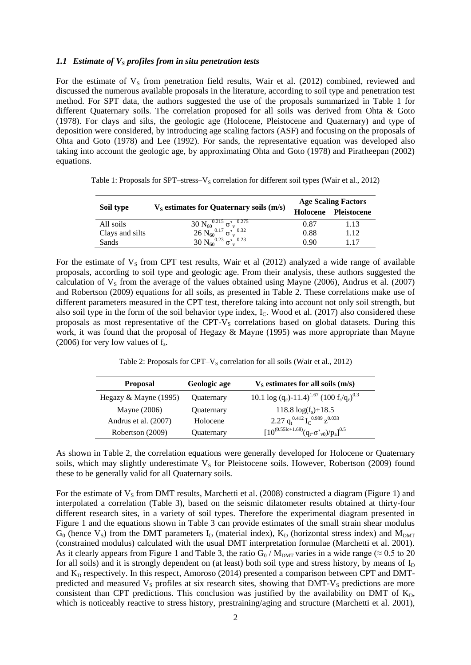#### *1.1 Estimate of V<sup>S</sup> profiles from in situ penetration tests*

For the estimate of  $V_s$  from penetration field results, Wair et al. (2012) combined, reviewed and discussed the numerous available proposals in the literature, according to soil type and penetration test method. For SPT data, the authors suggested the use of the proposals summarized in Table 1 for different Quaternary soils. The correlation proposed for all soils was derived from Ohta & Goto (1978). For clays and silts, the geologic age (Holocene, Pleistocene and Quaternary) and type of deposition were considered, by introducing age scaling factors (ASF) and focusing on the proposals of Ohta and Goto (1978) and Lee (1992). For sands, the representative equation was developed also taking into account the geologic age, by approximating Ohta and Goto (1978) and Piratheepan (2002) equations.

| Soil type       |                                                 | <b>Age Scaling Factors</b> |             |  |
|-----------------|-------------------------------------------------|----------------------------|-------------|--|
|                 | $V_s$ estimates for Quaternary soils $(m/s)$    | Holocene                   | Pleistocene |  |
| All soils       | $30 N_{60}^{0.215} \sigma_v^{0.275}$            | 0.87                       | 1.13        |  |
| Clays and silts | 26 $\overline{N_{60}}^{0.17}$ $\sigma_v^{0.32}$ | 0.88                       | 1.12        |  |
| Sands           | $30 N_{60}^{0.23} \sigma_{v}^{0.23}$            | 0.90                       | 117         |  |

Table 1: Proposals for SPT–stress– $V_S$  correlation for different soil types (Wair et al., 2012)

For the estimate of  $V_s$  from CPT test results, Wair et al (2012) analyzed a wide range of available proposals, according to soil type and geologic age. From their analysis, these authors suggested the calculation of  $V_s$  from the average of the values obtained using Mayne (2006), Andrus et al. (2007) and Robertson (2009) equations for all soils, as presented in Table 2. These correlations make use of different parameters measured in the CPT test, therefore taking into account not only soil strength, but also soil type in the form of the soil behavior type index,  $I_c$ . Wood et al. (2017) also considered these proposals as most representative of the CPT-V<sub>S</sub> correlations based on global datasets. During this work, it was found that the proposal of Hegazy & Mayne (1995) was more appropriate than Mayne  $(2006)$  for very low values of  $f_s$ .

Table 2: Proposals for CPT– $V_s$  correlation for all soils (Wair et al., 2012)

<span id="page-1-0"></span>

| <b>Proposal</b>       | Geologic age | $V_s$ estimates for all soils $(m/s)$                                                                 |
|-----------------------|--------------|-------------------------------------------------------------------------------------------------------|
| Hegazy & Mayne (1995) | Quaternary   | 10.1 log (q <sub>c</sub> )-11.4) <sup>1.67</sup> (100 f <sub>s</sub> /q <sub>c</sub> ) <sup>0.3</sup> |
| Mayne (2006)          | Quaternary   | $118.8 \log(f) + 18.5$                                                                                |
| Andrus et al. (2007)  | Holocene     | 2.27 $q_t^{0.412} I_C^{0.989} z^{0.033}$                                                              |
| Robertson (2009)      | Quaternary   | $[10^{(0.551c+1.68)}(q_t-\sigma_{v0}^{\prime})/p_a]^{0.5}$                                            |

As shown in [Table 2,](#page-1-0) the correlation equations were generally developed for Holocene or Quaternary soils, which may slightly underestimate  $V_s$  for Pleistocene soils. However, Robertson (2009) found these to be generally valid for all Quaternary soils.

For the estimate of  $V_s$  from DMT results, Marchetti et al. (2008) constructed a diagram (Figure 1) and interpolated a correlation (Table 3), based on the seismic dilatometer results obtained at thirty-four different research sites, in a variety of soil types. Therefore the experimental diagram presented in Figure 1 and the equations shown in Table 3 can provide estimates of the small strain shear modulus  $G_0$  (hence  $V_s$ ) from the DMT parameters  $I_D$  (material index),  $K_D$  (horizontal stress index) and  $M_{DMT}$ (constrained modulus) calculated with the usual DMT interpretation formulae (Marchetti et al. 2001). As it clearly appears from Figure 1 and Table 3, the ratio  $G_0 / M_{\text{DMT}}$  varies in a wide range ( $\approx 0.5$  to 20 for all soils) and it is strongly dependent on (at least) both soil type and stress history, by means of  $I<sub>D</sub>$ and  $K_D$  respectively. In this respect, Amoroso (2014) presented a comparison between CPT and DMTpredicted and measured  $V<sub>S</sub>$  profiles at six research sites, showing that DMT- $V<sub>S</sub>$  predictions are more consistent than CPT predictions. This conclusion was justified by the availability on DMT of  $K_{D_2}$ , which is noticeably reactive to stress history, prestraining/aging and structure (Marchetti et al. 2001),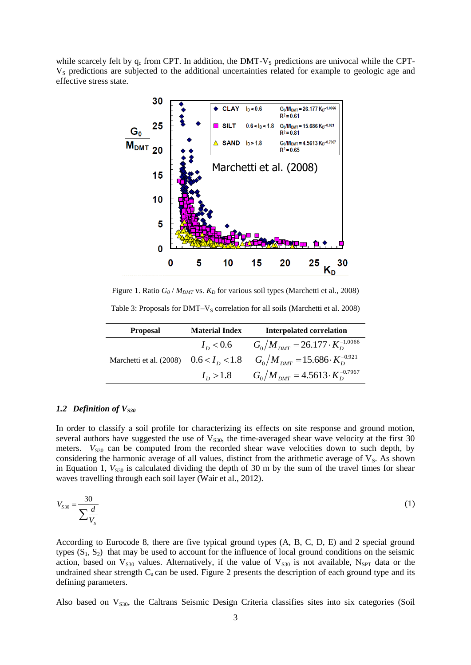while scarcely felt by  $q_c$  from CPT. In addition, the DMT-V<sub>S</sub> predictions are univocal while the CPT-V<sub>S</sub> predictions are subjected to the additional uncertainties related for example to geologic age and effective stress state.



Figure 1. Ratio  $G_0/M_{\text{DMT}}$  vs.  $K_D$  for various soil types (Marchetti et al., 2008)

Table 3: Proposals for  $DMT-V_S$  correlation for all soils (Marchetti et al. 2008)

| <b>Proposal</b> | <b>Material Index</b> | <b>Interpolated correlation</b>                                                     |
|-----------------|-----------------------|-------------------------------------------------------------------------------------|
|                 | $I_{\rm n}$ < 0.6     | $G_0/M_{\text{DMT}} = 26.177 \cdot K_D^{-1.0066}$                                   |
|                 |                       | Marchetti et al. (2008) $0.6 < I_D < 1.8$ $G_0/M_{DMT} = 15.686 \cdot K_D^{-0.921}$ |
|                 | $I_{\rm p} > 1.8$     | $G_0/M_{DMT} = 4.5613 \cdot K_D^{-0.7967}$                                          |

#### *1.2 Definition of VS30*

In order to classify a soil profile for characterizing its effects on site response and ground motion, several authors have suggested the use of  $V<sub>S30</sub>$ , the time-averaged shear wave velocity at the first 30 meters.  $V<sub>S30</sub>$  can be computed from the recorded shear wave velocities down to such depth, by considering the harmonic average of all values, distinct from the arithmetic average of  $V<sub>S</sub>$ . As shown in Equation 1,  $V_{S30}$  is calculated dividing the depth of 30 m by the sum of the travel times for shear waves travelling through each soil layer (Wair et al., 2012).

$$
V_{S30} = \frac{30}{\sum \frac{d}{V_S}}\tag{1}
$$

According to Eurocode 8, there are five typical ground types (A, B, C, D, E) and 2 special ground types  $(S_1, S_2)$  that may be used to account for the influence of local ground conditions on the seismic action, based on  $V_{S30}$  values. Alternatively, if the value of  $V_{S30}$  is not available, N<sub>SPT</sub> data or the undrained shear strength  $C_u$  can be used. Figure 2 presents the description of each ground type and its defining parameters.

Also based on  $V_{S30}$ , the Caltrans Seismic Design Criteria classifies sites into six categories (Soil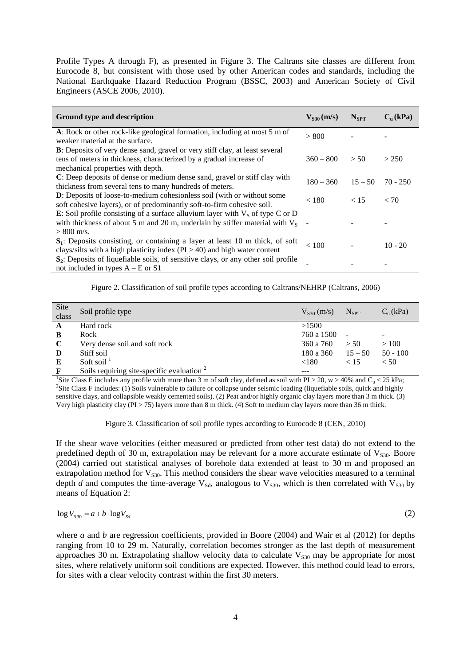Profile Types A through F), as presented in Figure 3. The Caltrans site classes are different from Eurocode 8, but consistent with those used by other American codes and standards, including the National Earthquake Hazard Reduction Program (BSSC, 2003) and American Society of Civil Engineers (ASCE 2006, 2010).

| Ground type and description                                                                                                                                                                     | $V_{s30}$ (m/s) | $N_{SPT}$ | $C_n$ (kPa) |
|-------------------------------------------------------------------------------------------------------------------------------------------------------------------------------------------------|-----------------|-----------|-------------|
| A: Rock or other rock-like geological formation, including at most 5 m of<br>weaker material at the surface.                                                                                    | > 800           |           |             |
| <b>B</b> : Deposits of very dense sand, gravel or very stiff clay, at least several<br>tens of meters in thickness, characterized by a gradual increase of<br>mechanical properties with depth. | $360 - 800$     | > 50      | > 250       |
| C: Deep deposits of dense or medium dense sand, gravel or stiff clay with<br>thickness from several tens to many hundreds of meters.                                                            | $180 - 360$     | $15 - 50$ | $70 - 250$  |
| <b>D</b> : Deposits of loose-to-medium cohesionless soil (with or without some<br>soft cohesive layers), or of predominantly soft-to-firm cohesive soil.                                        | < 180           | < 15      | < 70        |
| <b>E</b> : Soil profile consisting of a surface alluvium layer with $V_s$ of type C or D<br>with thickness of about 5 m and 20 m, underlain by stiffer material with $V_s$<br>$> 800$ m/s.      |                 |           |             |
| $S_1$ : Deposits consisting, or containing a layer at least 10 m thick, of soft<br>clays/silts with a high plasticity index $(PI > 40)$ and high water content                                  | < 100           |           | $10 - 20$   |
| $S_2$ : Deposits of liquefiable soils, of sensitive clays, or any other soil profile<br>not included in types $A - E$ or $S1$                                                                   |                 |           |             |

Figure 2. Classification of soil profile types according to Caltrans/NEHRP (Caltrans, 2006)

| Site        | Soil profile type                            | $V_{s30}$ (m/s) | $N_{\rm SPT}$            | $Cn$ (kPa) |
|-------------|----------------------------------------------|-----------------|--------------------------|------------|
| class       |                                              |                 |                          |            |
| A           | Hard rock                                    | >1500           |                          |            |
| B           | Rock                                         | 760 a 1500      | $\overline{\phantom{a}}$ | -          |
| $\mathbf C$ | Very dense soil and soft rock                | 360 a 760       | > 50                     | >100       |
| D           | Stiff soil                                   | 180 a 360       | $15 - 50$                | $50 - 100$ |
| E           | Soft soil $\frac{1}{1}$                      | ${<}180$        | < 15                     | < 50       |
| F           | Soils requiring site-specific evaluation $2$ |                 |                          |            |

<sup>1</sup>Site Class E includes any profile with more than 3 m of soft clay, defined as soil with PI > 20, w > 40% and C<sub>u</sub> < 25 kPa; <sup>2</sup>Site Class F includes: (1) Soils vulnerable to failure or collapse under seismic loading (liquefiable soils, quick and highly sensitive clays, and collapsible weakly cemented soils). (2) Peat and/or highly organic clay layers more than 3 m thick. (3) Very high plasticity clay (PI  $> 75$ ) layers more than 8 m thick. (4) Soft to medium clay layers more than 36 m thick.

Figure 3. Classification of soil profile types according to Eurocode 8 (CEN, 2010)

If the shear wave velocities (either measured or predicted from other test data) do not extend to the predefined depth of 30 m, extrapolation may be relevant for a more accurate estimate of  $V<sub>S30</sub>$ . Boore (2004) carried out statistical analyses of borehole data extended at least to 30 m and proposed an extrapolation method for  $V_{530}$ . This method considers the shear wave velocities measured to a terminal depth *d* and computes the time-average  $V_{Sd}$ , analogous to  $V_{S30}$ , which is then correlated with  $V_{S30}$  by means of Equation 2:

$$
\log V_{S30} = a + b \cdot \log V_{Sd} \tag{2}
$$

where *a* and *b* are regression coefficients, provided in Boore (2004) and Wair et al (2012) for depths ranging from 10 to 29 m. Naturally, correlation becomes stronger as the last depth of measurement approaches 30 m. Extrapolating shallow velocity data to calculate  $V_{s30}$  may be appropriate for most sites, where relatively uniform soil conditions are expected. However, this method could lead to errors, for sites with a clear velocity contrast within the first 30 meters.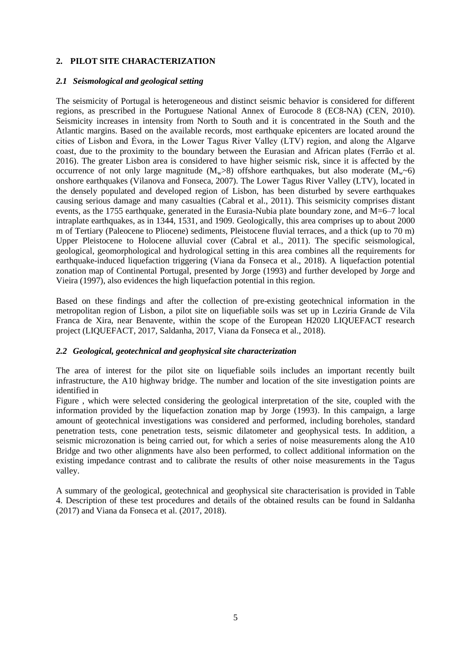## **2. PILOT SITE CHARACTERIZATION**

#### *2.1 Seismological and geological setting*

The seismicity of Portugal is heterogeneous and distinct seismic behavior is considered for different regions, as prescribed in the Portuguese National Annex of Eurocode 8 (EC8-NA) (CEN, 2010). Seismicity increases in intensity from North to South and it is concentrated in the South and the Atlantic margins. Based on the available records, most earthquake epicenters are located around the cities of Lisbon and Évora, in the Lower Tagus River Valley (LTV) region, and along the Algarve coast, due to the proximity to the boundary between the Eurasian and African plates (Ferrão et al. 2016). The greater Lisbon area is considered to have higher seismic risk, since it is affected by the occurrence of not only large magnitude  $(M_w>8)$  offshore earthquakes, but also moderate  $(M_w<sub>0</sub>)$ onshore earthquakes (Vilanova and Fonseca, 2007). The Lower Tagus River Valley (LTV), located in the densely populated and developed region of Lisbon, has been disturbed by severe earthquakes causing serious damage and many casualties (Cabral et al., 2011). This seismicity comprises distant events, as the 1755 earthquake, generated in the Eurasia-Nubia plate boundary zone, and M=6–7 local intraplate earthquakes, as in 1344, 1531, and 1909. Geologically, this area comprises up to about 2000 m of Tertiary (Paleocene to Pliocene) sediments, Pleistocene fluvial terraces, and a thick (up to 70 m) Upper Pleistocene to Holocene alluvial cover (Cabral et al., 2011). The specific seismological, geological, geomorphological and hydrological setting in this area combines all the requirements for earthquake-induced liquefaction triggering (Viana da Fonseca et al., 2018). A liquefaction potential zonation map of Continental Portugal, presented by Jorge (1993) and further developed by Jorge and Vieira (1997), also evidences the high liquefaction potential in this region.

Based on these findings and after the collection of pre-existing geotechnical information in the metropolitan region of Lisbon, a pilot site on liquefiable soils was set up in Lezíria Grande de Vila Franca de Xira, near Benavente, within the scope of the European H2020 LIQUEFACT research project (LIQUEFACT, 2017, Saldanha, 2017, Viana da Fonseca et al., 2018).

#### *2.2 Geological, geotechnical and geophysical site characterization*

The area of interest for the pilot site on liquefiable soils includes an important recently built infrastructure, the A10 highway bridge. The number and location of the site investigation points are identified in

[Figure](#page-5-0) , which were selected considering the geological interpretation of the site, coupled with the information provided by the liquefaction zonation map by Jorge (1993). In this campaign, a large amount of geotechnical investigations was considered and performed, including boreholes, standard penetration tests, cone penetration tests, seismic dilatometer and geophysical tests. In addition, a seismic microzonation is being carried out, for which a series of noise measurements along the A10 Bridge and two other alignments have also been performed, to collect additional information on the existing impedance contrast and to calibrate the results of other noise measurements in the Tagus valley.

A summary of the geological, geotechnical and geophysical site characterisation is provided in [Table](#page-5-1)  [4.](#page-5-1) Description of these test procedures and details of the obtained results can be found in Saldanha (2017) and Viana da Fonseca et al. (2017, 2018).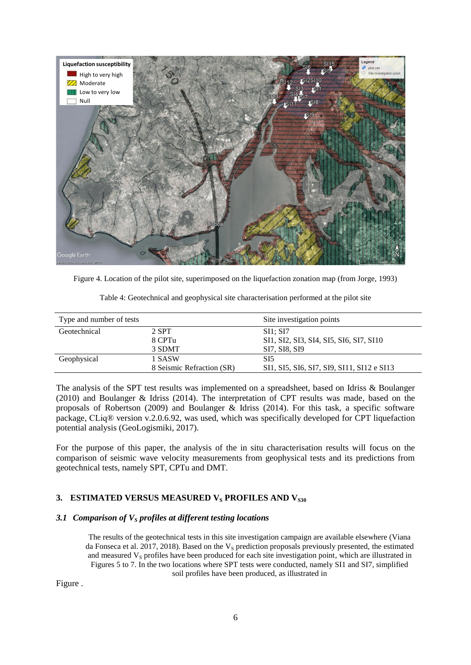

Figure 4. Location of the pilot site, superimposed on the liquefaction zonation map (from Jorge, 1993)

| Table 4: Geotechnical and geophysical site characterisation performed at the pilot site |  |  |  |
|-----------------------------------------------------------------------------------------|--|--|--|
|                                                                                         |  |  |  |
|                                                                                         |  |  |  |

<span id="page-5-1"></span><span id="page-5-0"></span>

| Type and number of tests |                           | Site investigation points                  |
|--------------------------|---------------------------|--------------------------------------------|
| Geotechnical             | 2 SPT                     | SI1: SI7                                   |
|                          | 8 CPTu                    | SI1, SI2, SI3, SI4, SI5, SI6, SI7, SI10    |
|                          | 3 SDMT                    | SI7, SI8, SI9                              |
| Geophysical              | 1 SASW                    | SI5                                        |
|                          | 8 Seismic Refraction (SR) | SI1, SI5, SI6, SI7, SI9, SI11, SI12 e SI13 |

The analysis of the SPT test results was implemented on a spreadsheet, based on Idriss & Boulanger (2010) and Boulanger & Idriss (2014). The interpretation of CPT results was made, based on the proposals of Robertson (2009) and Boulanger & Idriss (2014). For this task, a specific software package, CLiq® version v.2.0.6.92, was used, which was specifically developed for CPT liquefaction potential analysis (GeoLogismiki, 2017).

For the purpose of this paper, the analysis of the in situ characterisation results will focus on the comparison of seismic wave velocity measurements from geophysical tests and its predictions from geotechnical tests, namely SPT, CPTu and DMT.

# 3. **ESTIMATED VERSUS MEASURED V<sub>S</sub> PROFILES AND V<sub>S30</sub>**

## *3.1 Comparison of V<sup>S</sup> profiles at different testing locations*

The results of the geotechnical tests in this site investigation campaign are available elsewhere (Viana da Fonseca et al. 2017, 2018). Based on the  $V_s$  prediction proposals previously presented, the estimated and measured  $V<sub>S</sub>$  profiles have been produced for each site investigation point, which are illustrated in Figures 5 to 7. In the two locations where SPT tests were conducted, namely SI1 and SI7, simplified soil profiles have been produced, as illustrated in

[Figure .](#page-6-0)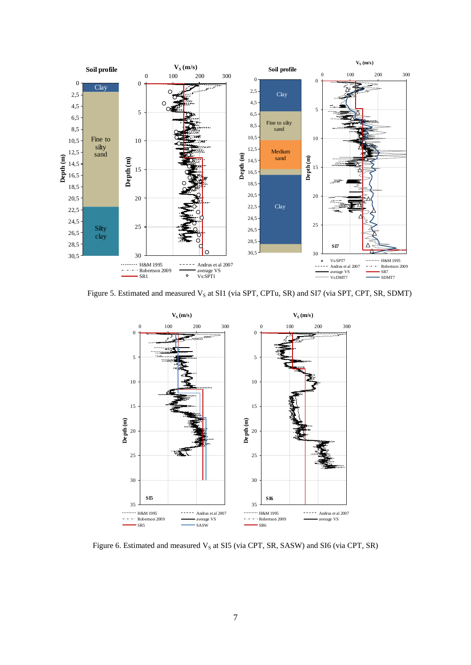

<span id="page-6-0"></span>Figure 5. Estimated and measured V<sub>S</sub> at SI1 (via SPT, CPTu, SR) and SI7 (via SPT, CPT, SR, SDMT)



Figure 6. Estimated and measured  $V_S$  at SI5 (via CPT, SR, SASW) and SI6 (via CPT, SR)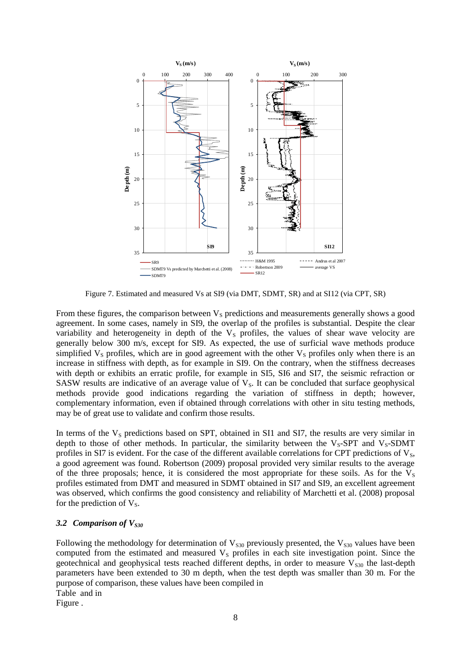

Figure 7. Estimated and measured Vs at SI9 (via DMT, SDMT, SR) and at SI12 (via CPT, SR)

From these figures, the comparison between  $V<sub>S</sub>$  predictions and measurements generally shows a good agreement. In some cases, namely in SI9, the overlap of the profiles is substantial. Despite the clear variability and heterogeneity in depth of the  $V<sub>S</sub>$  profiles, the values of shear wave velocity are generally below 300 m/s, except for SI9. As expected, the use of surficial wave methods produce simplified  $V<sub>S</sub>$  profiles, which are in good agreement with the other  $V<sub>S</sub>$  profiles only when there is an increase in stiffness with depth, as for example in SI9. On the contrary, when the stiffness decreases with depth or exhibits an erratic profile, for example in SI5, SI6 and SI7, the seismic refraction or SASW results are indicative of an average value of  $V<sub>S</sub>$ . It can be concluded that surface geophysical methods provide good indications regarding the variation of stiffness in depth; however, complementary information, even if obtained through correlations with other in situ testing methods, may be of great use to validate and confirm those results.

In terms of the  $V_s$  predictions based on SPT, obtained in SI1 and SI7, the results are very similar in depth to those of other methods. In particular, the similarity between the  $V_s$ -SPT and  $V_s$ -SDMT profiles in SI7 is evident. For the case of the different available correlations for CPT predictions of  $V_s$ , a good agreement was found. Robertson (2009) proposal provided very similar results to the average of the three proposals; hence, it is considered the most appropriate for these soils. As for the  $V_s$ profiles estimated from DMT and measured in SDMT obtained in SI7 and SI9, an excellent agreement was observed, which confirms the good consistency and reliability of Marchetti et al. (2008) proposal for the prediction of  $V_s$ .

## *3.2 Comparison of VS30*

Following the methodology for determination of  $V<sub>S30</sub>$  previously presented, the  $V<sub>S30</sub>$  values have been computed from the estimated and measured  $V<sub>S</sub>$  profiles in each site investigation point. Since the geotechnical and geophysical tests reached different depths, in order to measure  $V<sub>S30</sub>$  the last-depth parameters have been extended to 30 m depth, when the test depth was smaller than 30 m. For the purpose of comparison, these values have been compiled in [Table](#page-8-0) and in [Figure](#page-8-1) .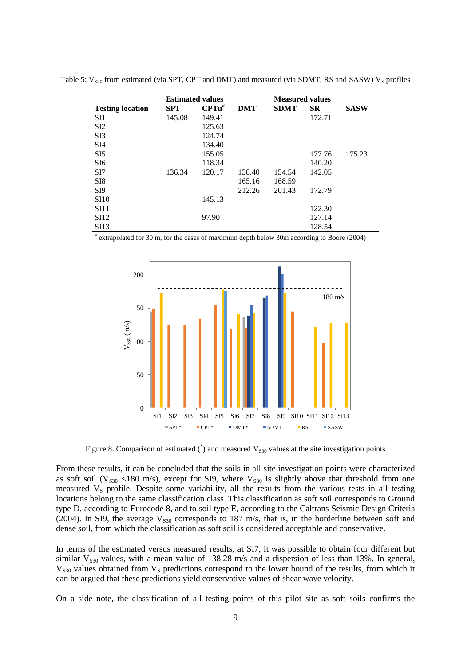|                         |            | <b>Estimated values</b> |            | <b>Measured values</b> |           |             |
|-------------------------|------------|-------------------------|------------|------------------------|-----------|-------------|
| <b>Testing location</b> | <b>SPT</b> | $CPTu^{\#}$             | <b>DMT</b> | <b>SDMT</b>            | <b>SR</b> | <b>SASW</b> |
| SI <sub>1</sub>         | 145.08     | 149.41                  |            |                        | 172.71    |             |
| SI2                     |            | 125.63                  |            |                        |           |             |
| S <sub>I3</sub>         |            | 124.74                  |            |                        |           |             |
| SI4                     |            | 134.40                  |            |                        |           |             |
| SI5                     |            | 155.05                  |            |                        | 177.76    | 175.23      |
| SI <sub>6</sub>         |            | 118.34                  |            |                        | 140.20    |             |
| SI7                     | 136.34     | 120.17                  | 138.40     | 154.54                 | 142.05    |             |
| SI <sub>8</sub>         |            |                         | 165.16     | 168.59                 |           |             |
| S <sub>I9</sub>         |            |                         | 212.26     | 201.43                 | 172.79    |             |
| <b>SI10</b>             |            | 145.13                  |            |                        |           |             |
| <b>SI11</b>             |            |                         |            |                        | 122.30    |             |
| <b>SI12</b>             |            | 97.90                   |            |                        | 127.14    |             |
| <b>SI13</b>             |            |                         |            |                        | 128.54    |             |

<span id="page-8-0"></span>Table 5:  $V_{S30}$  from estimated (via SPT, CPT and DMT) and measured (via SDMT, RS and SASW)  $V_S$  profiles

# extrapolated for 30 m, for the cases of maximum depth below 30m according to Boore (2004)



Figure 8. Comparison of estimated  $\binom{4}{3}$  and measured  $V_{S30}$  values at the site investigation points

<span id="page-8-1"></span>From these results, it can be concluded that the soils in all site investigation points were characterized as soft soil ( $V_{s30}$  <180 m/s), except for SI9, where  $V_{s30}$  is slightly above that threshold from one measured  $V<sub>S</sub>$  profile. Despite some variability, all the results from the various tests in all testing locations belong to the same classification class. This classification as soft soil corresponds to Ground type D, according to Eurocode 8, and to soil type E, according to the Caltrans Seismic Design Criteria (2004). In SI9, the average  $V<sub>S30</sub>$  corresponds to 187 m/s, that is, in the borderline between soft and dense soil, from which the classification as soft soil is considered acceptable and conservative.

In terms of the estimated versus measured results, at SI7, it was possible to obtain four different but similar  $V_{s30}$  values, with a mean value of 138.28 m/s and a dispersion of less than 13%. In general,  $V<sub>S30</sub>$  values obtained from  $V<sub>S</sub>$  predictions correspond to the lower bound of the results, from which it can be argued that these predictions yield conservative values of shear wave velocity.

On a side note, the classification of all testing points of this pilot site as soft soils confirms the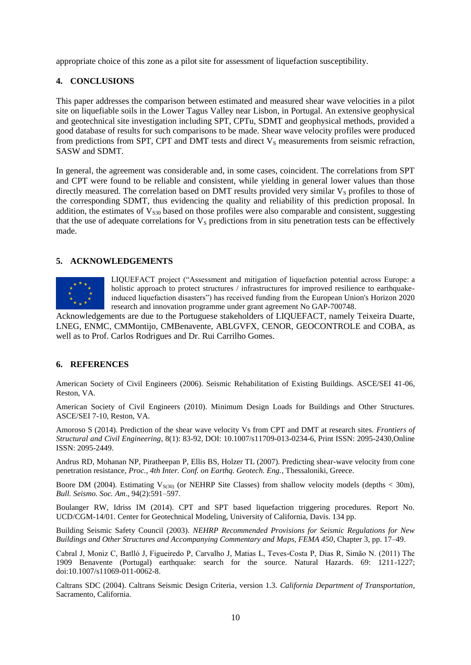appropriate choice of this zone as a pilot site for assessment of liquefaction susceptibility.

## **4. CONCLUSIONS**

This paper addresses the comparison between estimated and measured shear wave velocities in a pilot site on liquefiable soils in the Lower Tagus Valley near Lisbon, in Portugal. An extensive geophysical and geotechnical site investigation including SPT, CPTu, SDMT and geophysical methods, provided a good database of results for such comparisons to be made. Shear wave velocity profiles were produced from predictions from SPT, CPT and DMT tests and direct  $V_s$  measurements from seismic refraction, SASW and SDMT.

In general, the agreement was considerable and, in some cases, coincident. The correlations from SPT and CPT were found to be reliable and consistent, while yielding in general lower values than those directly measured. The correlation based on DMT results provided very similar  $V<sub>S</sub>$  profiles to those of the corresponding SDMT, thus evidencing the quality and reliability of this prediction proposal. In addition, the estimates of  $V<sub>S30</sub>$  based on those profiles were also comparable and consistent, suggesting that the use of adequate correlations for  $V<sub>S</sub>$  predictions from in situ penetration tests can be effectively made.

## **5. ACKNOWLEDGEMENTS**



LIQUEFACT project ("Assessment and mitigation of liquefaction potential across Europe: a holistic approach to protect structures / infrastructures for improved resilience to earthquakeinduced liquefaction disasters") has received funding from the European Union's Horizon 2020 research and innovation programme under grant agreement No GAP-700748.

Acknowledgements are due to the Portuguese stakeholders of LIQUEFACT, namely Teixeira Duarte, LNEG, ENMC, CMMontijo, CMBenavente, ABLGVFX, CENOR, GEOCONTROLE and COBA, as well as to Prof. Carlos Rodrigues and Dr. Rui Carrilho Gomes.

## **6. REFERENCES**

American Society of Civil Engineers (2006). Seismic Rehabilitation of Existing Buildings. ASCE/SEI 41-06, Reston, VA.

American Society of Civil Engineers (2010). Minimum Design Loads for Buildings and Other Structures. ASCE/SEI 7-10, Reston, VA.

Amoroso S (2014). Prediction of the shear wave velocity Vs from CPT and DMT at research sites. *Frontiers of Structural and Civil Engineering*, 8(1): 83-92, DOI: 10.1007/s11709-013-0234-6, Print ISSN: 2095-2430,Online ISSN: 2095-2449.

Andrus RD, Mohanan NP, Piratheepan P, Ellis BS, Holzer TL (2007). Predicting shear-wave velocity from cone penetration resistance, *Proc., 4th Inter. Conf. on Earthq. Geotech. Eng.*, Thessaloniki, Greece.

Boore DM (2004). Estimating  $V_{S(30)}$  (or NEHRP Site Classes) from shallow velocity models (depths  $< 30m$ ), *Bull. Seismo. Soc. Am*., 94(2):591–597.

Boulanger RW, Idriss IM (2014). CPT and SPT based liquefaction triggering procedures. Report No. UCD/CGM-14/01. Center for Geotechnical Modeling, University of California, Davis. 134 pp.

Building Seismic Safety Council (2003). *NEHRP Recommended Provisions for Seismic Regulations for New Buildings and Other Structures and Accompanying Commentary and Maps*, *FEMA 450*, Chapter 3, pp. 17–49.

Cabral J, Moniz C, Batlló J, Figueiredo P, Carvalho J, Matias L, Teves-Costa P, Dias R, Simão N. (2011) The 1909 Benavente (Portugal) earthquake: search for the source. Natural Hazards. 69: 1211-1227; doi:10.1007/s11069-011-0062-8.

Caltrans SDC (2004). Caltrans Seismic Design Criteria, version 1.3. *California Department of Transportation*, Sacramento, California.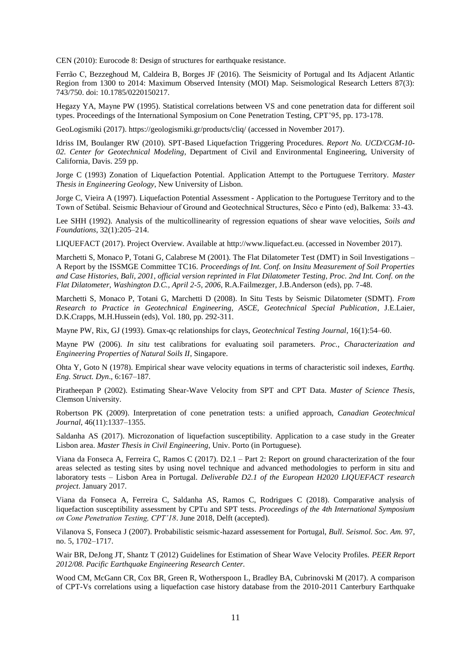CEN (2010): Eurocode 8: Design of structures for earthquake resistance.

Ferrão C, Bezzeghoud M, Caldeira B, Borges JF (2016). The Seismicity of Portugal and Its Adjacent Atlantic Region from 1300 to 2014: Maximum Observed Intensity (MOI) Map. Seismological Research Letters 87(3): 743/750. doi: 10.1785/0220150217.

Hegazy YA, Mayne PW (1995). Statistical correlations between VS and cone penetration data for different soil types. Proceedings of the International Symposium on Cone Penetration Testing, CPT'95, pp. 173-178.

GeoLogismiki (2017). https://geologismiki.gr/products/cliq/ (accessed in November 2017).

Idriss IM, Boulanger RW (2010). SPT-Based Liquefaction Triggering Procedures. *Report No. UCD/CGM-10- 02. Center for Geotechnical Modeling*, Department of Civil and Environmental Engineering, University of California, Davis. 259 pp.

Jorge C (1993) Zonation of Liquefaction Potential. Application Attempt to the Portuguese Territory. *Master Thesis in Engineering Geology*, New University of Lisbon.

Jorge C, Vieira A (1997). Liquefaction Potential Assessment - Application to the Portuguese Territory and to the Town of Setúbal. Seismic Behaviour of Ground and Geotechnical Structures, Sêco e Pinto (ed), Balkema: 33-43.

Lee SHH (1992). Analysis of the multicollinearity of regression equations of shear wave velocities, *Soils and Foundations*, 32(1):205–214.

LIQUEFACT (2017). Project Overview. Available at [http://www.liquefact.eu.](http://www.liquefact.eu/) (accessed in November 2017).

Marchetti S, Monaco P, Totani G, Calabrese M (2001). The Flat Dilatometer Test (DMT) in Soil Investigations – A Report by the ISSMGE Committee TC16. *Proceedings of Int. Conf. on Insitu Measurement of Soil Properties and Case Histories, Bali, 2001, official version reprinted in Flat Dilatometer Testing, Proc. 2nd Int. Conf. on the Flat Dilatometer, Washington D.C., April 2-5, 2006*, R.A.Failmezger, J.B.Anderson (eds), pp. 7-48.

Marchetti S, Monaco P, Totani G, Marchetti D (2008). In Situ Tests by Seismic Dilatometer (SDMT). *From Research to Practice in Geotechnical Engineering, ASCE, Geotechnical Special Publication*, J.E.Laier, D.K.Crapps, M.H.Hussein (eds), Vol. 180, pp. 292-311.

Mayne PW, Rix, GJ (1993). Gmax-qc relationships for clays, *Geotechnical Testing Journal*, 16(1):54–60.

Mayne PW (2006). *In situ* test calibrations for evaluating soil parameters. *Proc., Characterization and Engineering Properties of Natural Soils II*, Singapore.

Ohta Y, Goto N (1978). Empirical shear wave velocity equations in terms of characteristic soil indexes, *Earthq. Eng. Struct. Dyn*., 6:167–187.

Piratheepan P (2002). Estimating Shear-Wave Velocity from SPT and CPT Data. *Master of Science Thesis*, Clemson University.

Robertson PK (2009). Interpretation of cone penetration tests: a unified approach, *Canadian Geotechnical Journal*, 46(11):1337–1355.

Saldanha AS (2017). Microzonation of liquefaction susceptibility. Application to a case study in the Greater Lisbon area. *Master Thesis in Civil Engineering*, Univ. Porto (in Portuguese).

Viana da Fonseca A, Ferreira C, Ramos C (2017). D2.1 – Part 2: Report on ground characterization of the four areas selected as testing sites by using novel technique and advanced methodologies to perform in situ and laboratory tests – Lisbon Area in Portugal. *Deliverable D2.1 of the European H2020 LIQUEFACT research project*. January 2017.

Viana da Fonseca A, Ferreira C, Saldanha AS, Ramos C, Rodrigues C (2018). Comparative analysis of liquefaction susceptibility assessment by CPTu and SPT tests. *Proceedings of the 4th International Symposium on Cone Penetration Testing, CPT'18*. June 2018, Delft (accepted).

Vilanova S, Fonseca J (2007). Probabilistic seismic-hazard assessement for Portugal, *Bull. Seismol. Soc. Am.* 97, no. 5, 1702–1717.

Wair BR, DeJong JT, Shantz T (2012) Guidelines for Estimation of Shear Wave Velocity Profiles. *PEER Report 2012/08. Pacific Earthquake Engineering Research Center.*

Wood CM, McGann CR, Cox BR, Green R, Wotherspoon L, Bradley BA, Cubrinovski M (2017). A comparison of CPT-Vs correlations using a liquefaction case history database from the 2010-2011 Canterbury Earthquake